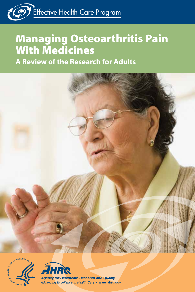

# Managing Osteoarthritis Pain With Medicines

**A Review of the Research for Adults**





**Agency for Healthcare Research and Quality** Advancing Excellence in Health Care · www.ahrq.gov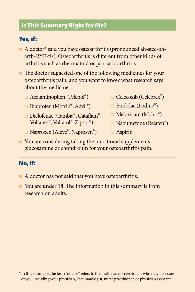# Is This Summary Right for Me?

# Yes, if:

- A doctor<sup>\*</sup> said you have osteoarthritis (pronounced ah-stee-oharth-RYE-tis). Osteoarthritis is different from other kinds of arthritis such as rheumatoid or psoriatic arthritis.
- The doctor suggested one of the following medicines for your osteoarthritis pain, and you want to know what research says about the medicine.
	- $\Box$  Acetaminophen (Tylenol®)
	- $\Box$  Ibuprofen (Motrin®, Advil®)
	- □ Diclofenac (Cambia®, Cataflam®, Voltaren®, Voltarol®, Zipsor®)
	- □ Naproxen (Aleve®, Naprosyn®)
- $\Box$  Celecoxib (Celebrex®)
- $\Box$  Etodolac (Lodine®)
- $\Box$  Meloxicam (Mobic®)
- Nabumetone (Relafen®)
- $\Box$  Aspirin
- You are considering taking the nutritional supplements glucosamine or chondroitin for your osteoarthritis pain.

# No, if:

- A doctor has not said that you have osteoarthritis.
- You are under 18. The information in this summary is from research on adults.

<sup>\*</sup>In this summary, the term "doctor" refers to the health care professionals who may take care of you, including your physician, rheumatologist, nurse practitioner, or physician assistant.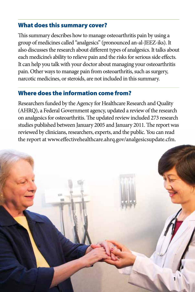# What does this summary cover?

This summary describes how to manage osteoarthritis pain by using a group of medicines called "analgesics" (pronounced an-al-JEEZ-iks). It also discusses the research about different types of analgesics. It talks about each medicine's ability to relieve pain and the risks for serious side effects. It can help you talk with your doctor about managing your osteoarthritis pain. Other ways to manage pain from osteoarthritis, such as surgery, narcotic medicines, or steroids, are not included in this summary.

#### Where does the information come from?

Researchers funded by the Agency for Healthcare Research and Quality (AHRQ), a Federal Government agency, updated a review of the research on analgesics for osteoarthritis. The updated review included 273 research studies published between January 2005 and January 2011. The report was reviewed by clinicians, researchers, experts, and the public. You can read the report at www.effectivehealthcare.ahrq.gov/analgesicsupdate.cfm.

**1**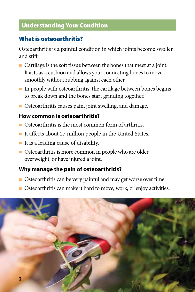# Understanding Your Condition

# What is osteoarthritis?

Osteoarthritis is a painful condition in which joints become swollen and stiff.

- Cartilage is the soft tissue between the bones that meet at a joint. It acts as a cushion and allows your connecting bones to move smoothly without rubbing against each other.
- $\blacksquare$  In people with osteoarthritis, the cartilage between bones begins to break down and the bones start grinding together.
- Osteoarthritis causes pain, joint swelling, and damage.

#### **How common is osteoarthritis?**

- Osteoarthritis is the most common form of arthritis.
- It affects about 27 million people in the United States.
- It is a leading cause of disability.
- **Osteoarthritis is more common in people who are older,** overweight, or have injured a joint.

## **Why manage the pain of osteoarthritis?**

- Osteoarthritis can be very painful and may get worse over time.
- Osteoarthritis can make it hard to move, work, or enjoy activities.

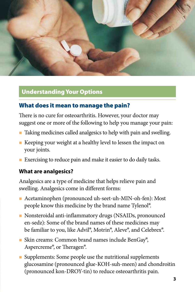

# Understanding Your Options

#### What does it mean to manage the pain?

There is no cure for osteoarthritis. However, your doctor may suggest one or more of the following to help you manage your pain:

- Taking medicines called analgesics to help with pain and swelling.
- Keeping your weight at a healthy level to lessen the impact on your joints.
- Exercising to reduce pain and make it easier to do daily tasks.

#### **What are analgesics?**

Analgesics are a type of medicine that helps relieve pain and swelling. Analgesics come in different forms:

- Acetaminophen (pronounced uh-seet-uh-MIN-oh-fen): Most people know this medicine by the brand name Tylenol®.
- Nonsteroidal anti-inflammatory drugs (NSAIDs, pronounced en-sedz): Some of the brand names of these medicines may be familiar to you, like Advil®, Motrin®, Aleve®, and Celebrex®.
- Skin creams: Common brand names include BenGay<sup>®</sup>, Aspercreme®, or Theragen®.
- Supplements: Some people use the nutritional supplements glucosamine (pronounced glue-KOH-suh-meen) and chondroitin (pronounced kon-DROY-tin) to reduce osteoarthritis pain.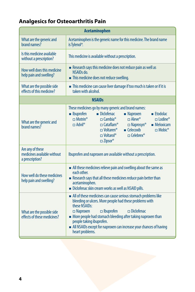# **Analgesics for Osteoarthritis Pain**

| <b>Acetaminophen</b>                                               |                                                                                                                                                                                                                                                                                                                                                                                                                                                                                                     |  |  |  |  |  |  |
|--------------------------------------------------------------------|-----------------------------------------------------------------------------------------------------------------------------------------------------------------------------------------------------------------------------------------------------------------------------------------------------------------------------------------------------------------------------------------------------------------------------------------------------------------------------------------------------|--|--|--|--|--|--|
| What are the generic and<br>brand names?                           | Acetaminophen is the generic name for this medicine. The brand name<br>is Tylenol <sup>®</sup> .                                                                                                                                                                                                                                                                                                                                                                                                    |  |  |  |  |  |  |
| Is this medicine available<br>without a prescription?              | This medicine is available without a prescription.                                                                                                                                                                                                                                                                                                                                                                                                                                                  |  |  |  |  |  |  |
| How well does this medicine<br>help pain and swelling?             | Research says this medicine does not reduce pain as well as<br>NSAIDs do<br>This medicine does not reduce swelling.                                                                                                                                                                                                                                                                                                                                                                                 |  |  |  |  |  |  |
| What are the possible side<br>effects of this medicine?            | This medicine can cause liver damage if too much is taken or if it is<br>taken with alcohol.                                                                                                                                                                                                                                                                                                                                                                                                        |  |  |  |  |  |  |
| <b>NSAIDs</b>                                                      |                                                                                                                                                                                                                                                                                                                                                                                                                                                                                                     |  |  |  |  |  |  |
| What are the generic and<br>brand names?                           | These medicines go by many generic and brand names:<br><b>I</b> buprofen<br>Diclofenac<br>• Naproxen<br>■ Etodolac<br>$\Box$ Aleve <sup>®</sup><br>$\Box$ Lodine <sup>®</sup><br>$\Box$ Motrin <sup>®</sup><br>$\Box$ Cambia®<br>$\Box$ Advil <sup>®</sup><br>$\Box$ Cataflam®<br>$\blacksquare$ Meloxicam<br>$\Box$ Naprosyn®<br>$\blacksquare$ Celecoxib<br>$\Box$ Voltaren <sup>®</sup><br>$\Box$ Mobic®<br>$\Box$ Celebrex <sup>®</sup><br>$\square$ Voltarol <sup>®</sup><br>$\square$ Zipsor® |  |  |  |  |  |  |
| Are any of these<br>medicines available without<br>a prescription? | Ibuprofen and naproxen are available without a prescription.                                                                                                                                                                                                                                                                                                                                                                                                                                        |  |  |  |  |  |  |
| How well do these medicines<br>help pain and swelling?             | • All these medicines relieve pain and swelling about the same as<br>each other.<br>Research says that all these medicines reduce pain better than<br>acetaminophen.<br>Diclofenac skin cream works as well as NSAID pills.                                                                                                                                                                                                                                                                         |  |  |  |  |  |  |
| What are the possible side<br>effects of these medicines?          | All of these medicines can cause serious stomach problems like<br>bleeding or ulcers. More people had these problems with<br>these NSAIDs:<br>$\Box$ Naproxen<br>$\Box$ Ibuprofen<br>$\Box$ Diclofenac<br>More people had stomach bleeding after taking naproxen than<br>people taking ibuprofen.<br>All NSAIDs except for naproxen can increase your chances of having<br>heart problems.                                                                                                          |  |  |  |  |  |  |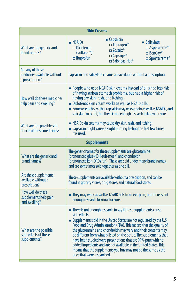| <b>Skin Creams</b>                                                 |                                                                                                                                                                                                                                                                                                                                                                                                                                                                                                                                                                                                               |                                                                                                                                         |                                                                                                |  |  |  |  |  |
|--------------------------------------------------------------------|---------------------------------------------------------------------------------------------------------------------------------------------------------------------------------------------------------------------------------------------------------------------------------------------------------------------------------------------------------------------------------------------------------------------------------------------------------------------------------------------------------------------------------------------------------------------------------------------------------------|-----------------------------------------------------------------------------------------------------------------------------------------|------------------------------------------------------------------------------------------------|--|--|--|--|--|
| What are the generic and<br>brand names?                           | $\blacksquare$ NSAIDs<br>$\Box$ Diclofenac<br>(Voltaren <sup>®</sup> )<br>$\Box$ Ibuprofen                                                                                                                                                                                                                                                                                                                                                                                                                                                                                                                    | ■ Capsaicin<br>□ Theragen <sup>®</sup><br>$\square$ Zostrix <sup>®</sup><br>$\Box$ Capsagel <sup>®</sup><br>□ Salonpas-Hot <sup>®</sup> | <b>Salicylate</b><br>□ Aspercreme <sup>®</sup><br>$\Box$ BenGay®<br>□ Sportscreme <sup>®</sup> |  |  |  |  |  |
| Are any of these<br>medicines available without<br>a prescription? | Capsaicin and salicylate creams are available without a prescription.                                                                                                                                                                                                                                                                                                                                                                                                                                                                                                                                         |                                                                                                                                         |                                                                                                |  |  |  |  |  |
| How well do these medicines<br>help pain and swelling?             | People who used NSAID skin creams instead of pills had less risk<br>of having serious stomach problems, but had a higher risk of<br>having dry skin, rash, and itching.<br>Diclofenac skin cream works as well as NSAID pills.<br>Some research says that capsaicin may relieve pain as well as NSAIDs, and<br>salicylate may not, but there is not enough research to know for sure.                                                                                                                                                                                                                         |                                                                                                                                         |                                                                                                |  |  |  |  |  |
| What are the possible side<br>effects of these medicines?          | NSAID skin creams may cause dry skin, rash, and itching.<br>• Capsaicin might cause a slight burning feeling the first few times<br>it is used.                                                                                                                                                                                                                                                                                                                                                                                                                                                               |                                                                                                                                         |                                                                                                |  |  |  |  |  |
|                                                                    | <b>Supplements</b>                                                                                                                                                                                                                                                                                                                                                                                                                                                                                                                                                                                            |                                                                                                                                         |                                                                                                |  |  |  |  |  |
| What are the generic and<br>brand names?                           | The generic names for these supplements are glucosamine<br>(pronounced glue-KOH-suh-meen) and chondroitin<br>(pronounced kon-DROY-tin). These are sold under many brand names,<br>and are sometimes sold together as one pill.                                                                                                                                                                                                                                                                                                                                                                                |                                                                                                                                         |                                                                                                |  |  |  |  |  |
| Are these supplements<br>available without a<br>prescription?      | These supplements are available without a prescription, and can be<br>found in grocery stores, drug stores, and natural food stores.                                                                                                                                                                                                                                                                                                                                                                                                                                                                          |                                                                                                                                         |                                                                                                |  |  |  |  |  |
| How well do these<br>supplements help pain<br>and swelling?        | They may work as well as NSAID pills to relieve pain, but there is not<br>enough research to know for sure.                                                                                                                                                                                                                                                                                                                                                                                                                                                                                                   |                                                                                                                                         |                                                                                                |  |  |  |  |  |
| What are the possible<br>side effects of these<br>supplements?     | There is not enough research to say if these supplements cause<br>side effects<br>Supplements sold in the United States are not regulated by the U.S.<br>Food and Drug Administration (FDA). This means that the quality of<br>the glucosamine and chondroitin may vary and their contents may<br>be different from what is listed on the bottle. The supplements that<br>have been studied were prescriptions that are 99% pure with no<br>added ingredients and are not available in the United States. This<br>means that the supplements you buy may not be the same as the<br>ones that were researched. |                                                                                                                                         |                                                                                                |  |  |  |  |  |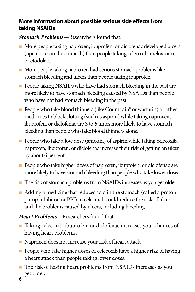#### **More information about possible serious side effects from taking NSAIDs**

*Stomach Problems—*Researchers found that:

- More people taking naproxen, ibuprofen, or diclofenac developed ulcers (open sores in the stomach) than people taking celecoxib, meloxicam, or etodolac.
- More people taking naproxen had serious stomach problems like stomach bleeding and ulcers than people taking ibuprofen.
- **People taking NSAIDs who have had stomach bleeding in the past are** more likely to have stomach bleeding caused by NSAIDs than people who have not had stomach bleeding in the past.
- People who take blood thinners (like Coumadin® or warfarin) or other medicines to block clotting (such as aspirin) while taking naproxen, ibuprofen, or diclofenac are 3 to 6 times more likely to have stomach bleeding than people who take blood thinners alone.
- **People who take a low dose (amount) of aspirin while taking celecoxib,** naproxen, ibuprofen, or diclofenac increase their risk of getting an ulcer by about 6 percent.
- People who take higher doses of naproxen, ibuprofen, or diclofenac are more likely to have stomach bleeding than people who take lower doses.
- The risk of stomach problems from NSAIDs increases as you get older.
- Adding a medicine that reduces acid in the stomach (called a proton pump inhibitor, or PPI) to celecoxib could reduce the risk of ulcers and the problems caused by ulcers, including bleeding.

*Heart Problems—*Researchers found that:

- Taking celecoxib, ibuprofen, or diclofenac increases your chances of having heart problems.
- Naproxen does not increase your risk of heart attack.
- **People who take higher doses of celecoxib have a higher risk of having** a heart attack than people taking lower doses.
- The risk of having heart problems from NSAIDs increases as you get older. **6**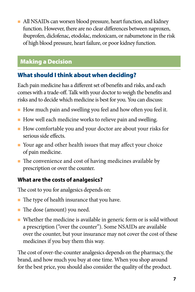All NSAIDs can worsen blood pressure, heart function, and kidney function. However, there are no clear differences between naproxen, ibuprofen, diclofenac, etodolac, meloxicam, or nabumetone in the risk of high blood pressure, heart failure, or poor kidney function.

# Making a Decision

# What should I think about when deciding?

Each pain medicine has a different set of benefits and risks, and each comes with a trade-off. Talk with your doctor to weigh the benefits and risks and to decide which medicine is best for you. You can discuss:

- How much pain and swelling you feel and how often you feel it.
- How well each medicine works to relieve pain and swelling.
- How comfortable you and your doctor are about your risks for serious side effects.
- Your age and other health issues that may affect your choice of pain medicine.
- The convenience and cost of having medicines available by prescription or over the counter.

# **What are the costs of analgesics?**

The cost to you for analgesics depends on:

- $\blacksquare$  The type of health insurance that you have.
- The dose (amount) you need.
- Whether the medicine is available in generic form or is sold without a prescription ("over the counter"). Some NSAIDs are available over the counter, but your insurance may not cover the cost of these medicines if you buy them this way.

The cost of over-the-counter analgesics depends on the pharmacy, the brand, and how much you buy at one time. When you shop around for the best price, you should also consider the quality of the product.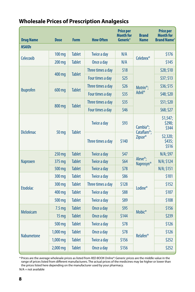| <b>Drug Name</b>  | <b>Dose</b>       | <b>Form</b>   | <b>How Often</b>  | <b>Price per</b><br><b>Month for</b><br>Generic* | <b>Brand</b><br><b>Name</b>                                        | <b>Price per</b><br><b>Month for</b><br><b>Brand Name*</b> |
|-------------------|-------------------|---------------|-------------------|--------------------------------------------------|--------------------------------------------------------------------|------------------------------------------------------------|
| <b>NSAIDs</b>     |                   |               |                   |                                                  |                                                                    |                                                            |
| Celecoxib         | 100 mg            | <b>Tablet</b> | Twice a day       | N/A                                              | <b>Celebrex®</b>                                                   | \$176                                                      |
|                   | 200 mg            | <b>Tablet</b> | Once a day        | N/A                                              |                                                                    | \$145                                                      |
| Ibuprofen         | 400 mg            | <b>Tablet</b> | Three times a day | \$18                                             | Motrin <sup>®</sup> ;<br><b>Advil</b> <sup>®</sup>                 | \$28; \$10                                                 |
|                   |                   |               | Four times a day  | \$25                                             |                                                                    | \$37; \$13                                                 |
|                   |                   | <b>Tablet</b> | Three times a day | \$26                                             |                                                                    | \$36; \$15                                                 |
|                   | 600 mg            |               | Four times a day  | \$35                                             |                                                                    | \$48; \$20                                                 |
|                   |                   | <b>Tablet</b> | Three times a day | \$35                                             |                                                                    | \$51; \$20                                                 |
|                   | 800 mg            |               | Four times a day  | \$46                                             |                                                                    | \$68; \$27                                                 |
| <b>Diclofenac</b> | 50 mg             | <b>Tablet</b> | Twice a day       | \$93                                             | Cambia <sup>®</sup> ;<br>Cataflam <sup>®</sup> ;<br><b>Zipsor®</b> | \$1,547;<br>\$290;<br>\$344                                |
|                   |                   |               | Three times a day | \$140                                            |                                                                    | \$2,320;<br>\$435;<br>\$516                                |
| Naproxen          | 250 mg            | <b>Tablet</b> | Twice a day       | \$47                                             | Aleve <sup>®</sup> ;<br>Naprosyn <sup>®</sup>                      | N/A; \$97                                                  |
|                   | 375 mg            | <b>Tablet</b> | Twice a day       | \$64                                             |                                                                    | N/A; \$124                                                 |
|                   | 500 mg            | <b>Tablet</b> | Twice a day       | \$78                                             |                                                                    | N/A; \$151                                                 |
| <b>Etodolac</b>   | 300 mg            | <b>Tablet</b> | Twice a day       | \$86                                             |                                                                    | \$101                                                      |
|                   | 300 mg            | <b>Tablet</b> | Three times a day | \$128                                            | Lodine <sup>®</sup>                                                | \$152                                                      |
|                   | 400 mg            | <b>Tablet</b> | Twice a day       | \$88                                             |                                                                    | \$107                                                      |
|                   | 500 mg            | <b>Tablet</b> | Twice a day       | \$89                                             |                                                                    | \$108                                                      |
| <b>Meloxicam</b>  | 7.5 <sub>mg</sub> | <b>Tablet</b> | Once a day        | \$95                                             | Mobic®                                                             | \$156                                                      |
|                   | 15 <sub>mg</sub>  | <b>Tablet</b> | Once a day        | \$144                                            |                                                                    | \$239                                                      |
| Nabumetone        | 500 mg            | <b>Tablet</b> | Twice a day       | \$78                                             |                                                                    | \$126                                                      |
|                   | 1,000 mg          | <b>Tablet</b> | Once a day        | \$78                                             |                                                                    | \$126                                                      |
|                   | 1,000 mg          | <b>Tablet</b> | Twice a day       | \$156                                            | <b>Relafen®</b>                                                    | \$252                                                      |
|                   | 2,000 mg          | <b>Tablet</b> | Once a day        | \$156                                            |                                                                    | \$252                                                      |

\* Prices are the average wholesale prices as listed from *RED BOOK Online®*. Generic prices are the middle value in the range of prices listed from different manufacturers. The actual prices of the medicines may be higher or lower than the prices listed here depending on the manufacturer used by your pharmacy.

 $N/A$  = not available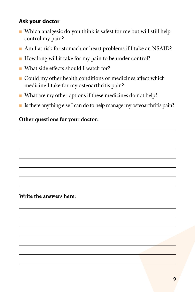#### **Ask your doctor**

- Which analgesic do you think is safest for me but will still help control my pain?
- Am I at risk for stomach or heart problems if I take an NSAID?
- How long will it take for my pain to be under control?
- What side effects should I watch for?
- Could my other health conditions or medicines affect which medicine I take for my osteoarthritis pain?
- What are my other options if these medicines do not help?
- Is there anything else I can do to help manage my osteoarthritis pain?

#### **Other questions for your doctor:**

#### **Write the answers here:**